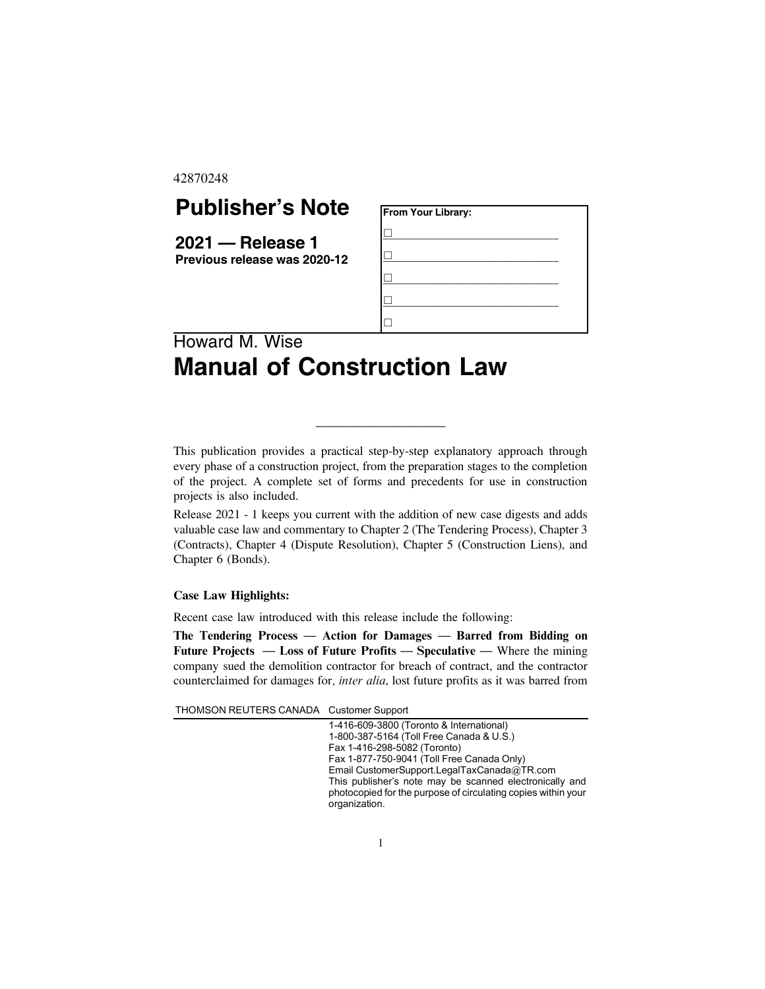42870248

## **Publisher's Note**

**2021 — Release 1 Previous release was 2020-12**

| From Your Library: |  |  |
|--------------------|--|--|
|                    |  |  |
|                    |  |  |
|                    |  |  |
|                    |  |  |
|                    |  |  |

## Howard M. Wise **Manual of Construction Law**

This publication provides a practical step-by-step explanatory approach through every phase of a construction project, from the preparation stages to the completion of the project. A complete set of forms and precedents for use in construction projects is also included.

\_\_\_\_\_\_\_\_\_\_\_\_\_\_\_\_\_\_\_

Release 2021 - 1 keeps you current with the addition of new case digests and adds valuable case law and commentary to Chapter 2 (The Tendering Process), Chapter 3 (Contracts), Chapter 4 (Dispute Resolution), Chapter 5 (Construction Liens), and Chapter 6 (Bonds).

## **Case Law Highlights:**

Recent case law introduced with this release include the following:

The Tendering Process — Action for Damages — Barred from Bidding on Future Projects — Loss of Future Profits — Speculative — Where the mining company sued the demolition contractor for breach of contract, and the contractor counterclaimed for damages for, inter alia, lost future profits as it was barred from

THOMSON REUTERS CANADA Customer Support

1-416-609-3800 (Toronto & International) 1-800-387-5164 (Toll Free Canada & U.S.) Fax 1-416-298-5082 (Toronto) Fax 1-877-750-9041 (Toll Free Canada Only) Email CustomerSupport.LegalTaxCanada@TR.com This publisher's note may be scanned electronically and photocopied for the purpose of circulating copies within your organization.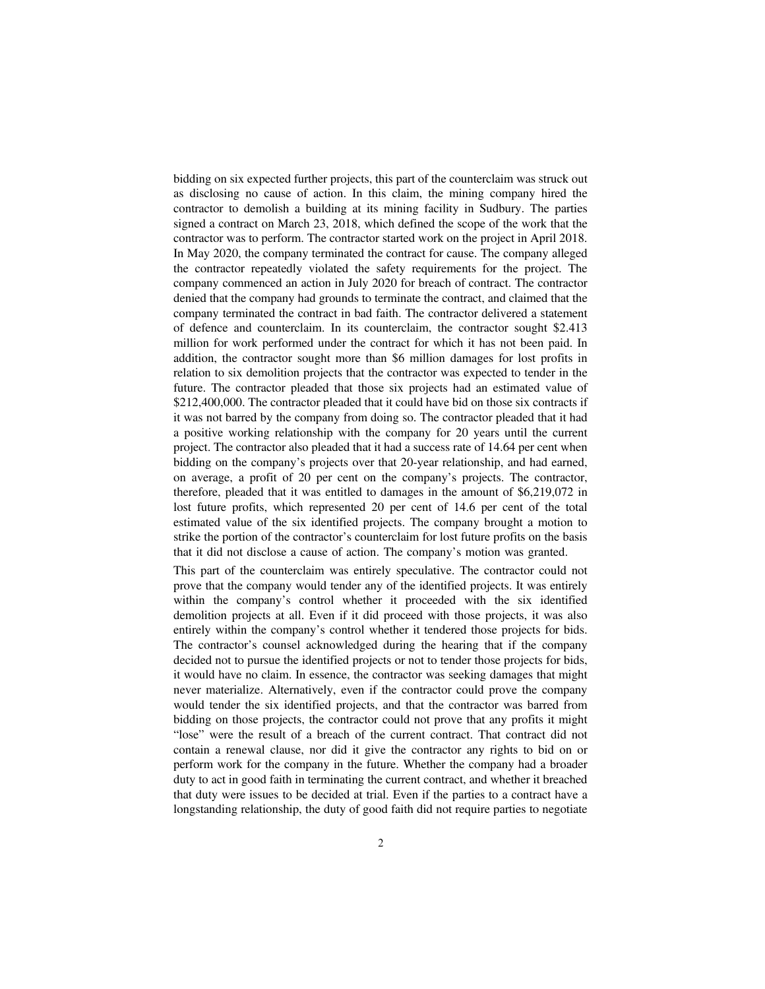bidding on six expected further projects, this part of the counterclaim was struck out as disclosing no cause of action. In this claim, the mining company hired the contractor to demolish a building at its mining facility in Sudbury. The parties signed a contract on March 23, 2018, which defined the scope of the work that the contractor was to perform. The contractor started work on the project in April 2018. In May 2020, the company terminated the contract for cause. The company alleged the contractor repeatedly violated the safety requirements for the project. The company commenced an action in July 2020 for breach of contract. The contractor denied that the company had grounds to terminate the contract, and claimed that the company terminated the contract in bad faith. The contractor delivered a statement of defence and counterclaim. In its counterclaim, the contractor sought \$2.413 million for work performed under the contract for which it has not been paid. In addition, the contractor sought more than \$6 million damages for lost profits in relation to six demolition projects that the contractor was expected to tender in the future. The contractor pleaded that those six projects had an estimated value of \$212,400,000. The contractor pleaded that it could have bid on those six contracts if it was not barred by the company from doing so. The contractor pleaded that it had a positive working relationship with the company for 20 years until the current project. The contractor also pleaded that it had a success rate of 14.64 per cent when bidding on the company's projects over that 20-year relationship, and had earned, on average, a profit of 20 per cent on the company's projects. The contractor, therefore, pleaded that it was entitled to damages in the amount of \$6,219,072 in lost future profits, which represented 20 per cent of 14.6 per cent of the total estimated value of the six identified projects. The company brought a motion to strike the portion of the contractor's counterclaim for lost future profits on the basis that it did not disclose a cause of action. The company's motion was granted.

This part of the counterclaim was entirely speculative. The contractor could not prove that the company would tender any of the identified projects. It was entirely within the company's control whether it proceeded with the six identified demolition projects at all. Even if it did proceed with those projects, it was also entirely within the company's control whether it tendered those projects for bids. The contractor's counsel acknowledged during the hearing that if the company decided not to pursue the identified projects or not to tender those projects for bids, it would have no claim. In essence, the contractor was seeking damages that might never materialize. Alternatively, even if the contractor could prove the company would tender the six identified projects, and that the contractor was barred from bidding on those projects, the contractor could not prove that any profits it might "lose" were the result of a breach of the current contract. That contract did not contain a renewal clause, nor did it give the contractor any rights to bid on or perform work for the company in the future. Whether the company had a broader duty to act in good faith in terminating the current contract, and whether it breached that duty were issues to be decided at trial. Even if the parties to a contract have a longstanding relationship, the duty of good faith did not require parties to negotiate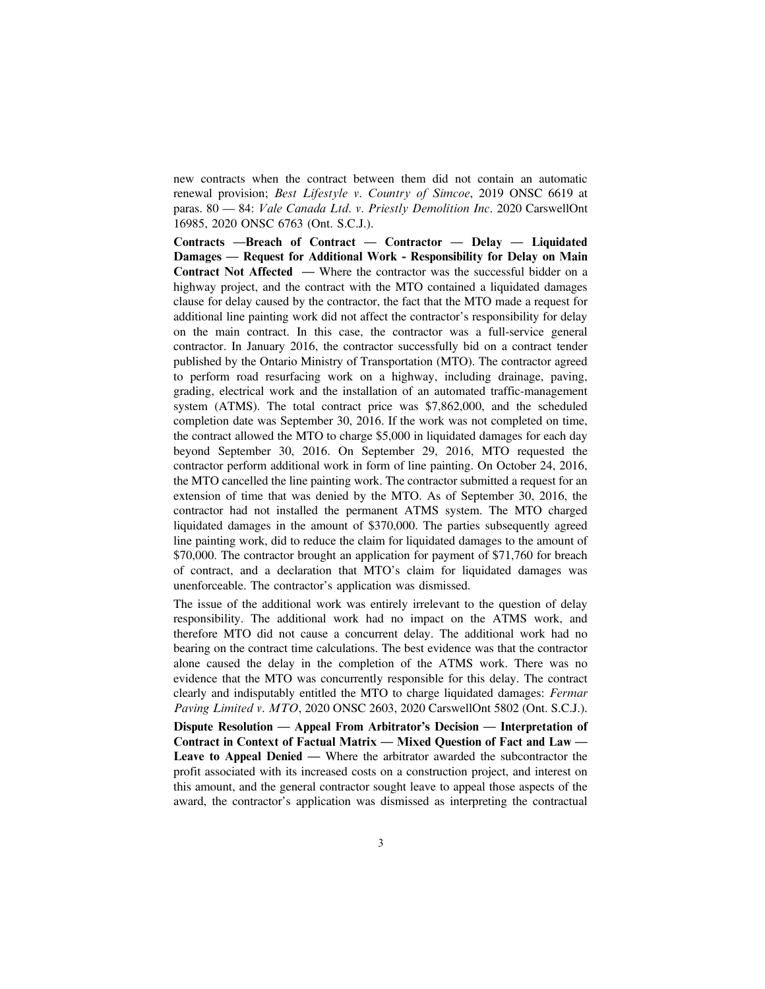new contracts when the contract between them did not contain an automatic renewal provision; Best Lifestyle v. Country of Simcoe, 2019 ONSC 6619 at paras. 80 — 84: Vale Canada Ltd. v. Priestly Demolition Inc. 2020 CarswellOnt 16985, 2020 ONSC 6763 (Ont. S.C.J.).

Contracts —Breach of Contract — Contractor — Delay — Liquidated Damages — Request for Additional Work - Responsibility for Delay on Main Contract Not Affected — Where the contractor was the successful bidder on a highway project, and the contract with the MTO contained a liquidated damages clause for delay caused by the contractor, the fact that the MTO made a request for additional line painting work did not affect the contractor's responsibility for delay on the main contract. In this case, the contractor was a full-service general contractor. In January 2016, the contractor successfully bid on a contract tender published by the Ontario Ministry of Transportation (MTO). The contractor agreed to perform road resurfacing work on a highway, including drainage, paving, grading, electrical work and the installation of an automated traffic-management system (ATMS). The total contract price was \$7,862,000, and the scheduled completion date was September 30, 2016. If the work was not completed on time, the contract allowed the MTO to charge \$5,000 in liquidated damages for each day beyond September 30, 2016. On September 29, 2016, MTO requested the contractor perform additional work in form of line painting. On October 24, 2016, the MTO cancelled the line painting work. The contractor submitted a request for an extension of time that was denied by the MTO. As of September 30, 2016, the contractor had not installed the permanent ATMS system. The MTO charged liquidated damages in the amount of \$370,000. The parties subsequently agreed line painting work, did to reduce the claim for liquidated damages to the amount of \$70,000. The contractor brought an application for payment of \$71,760 for breach of contract, and a declaration that MTO's claim for liquidated damages was unenforceable. The contractor's application was dismissed.

The issue of the additional work was entirely irrelevant to the question of delay responsibility. The additional work had no impact on the ATMS work, and therefore MTO did not cause a concurrent delay. The additional work had no bearing on the contract time calculations. The best evidence was that the contractor alone caused the delay in the completion of the ATMS work. There was no evidence that the MTO was concurrently responsible for this delay. The contract clearly and indisputably entitled the MTO to charge liquidated damages: Fermar Paving Limited v. MTO, 2020 ONSC 2603, 2020 CarswellOnt 5802 (Ont. S.C.J.). Dispute Resolution — Appeal From Arbitrator's Decision — Interpretation of

Contract in Context of Factual Matrix — Mixed Question of Fact and Law — Leave to Appeal Denied — Where the arbitrator awarded the subcontractor the profit associated with its increased costs on a construction project, and interest on this amount, and the general contractor sought leave to appeal those aspects of the award, the contractor's application was dismissed as interpreting the contractual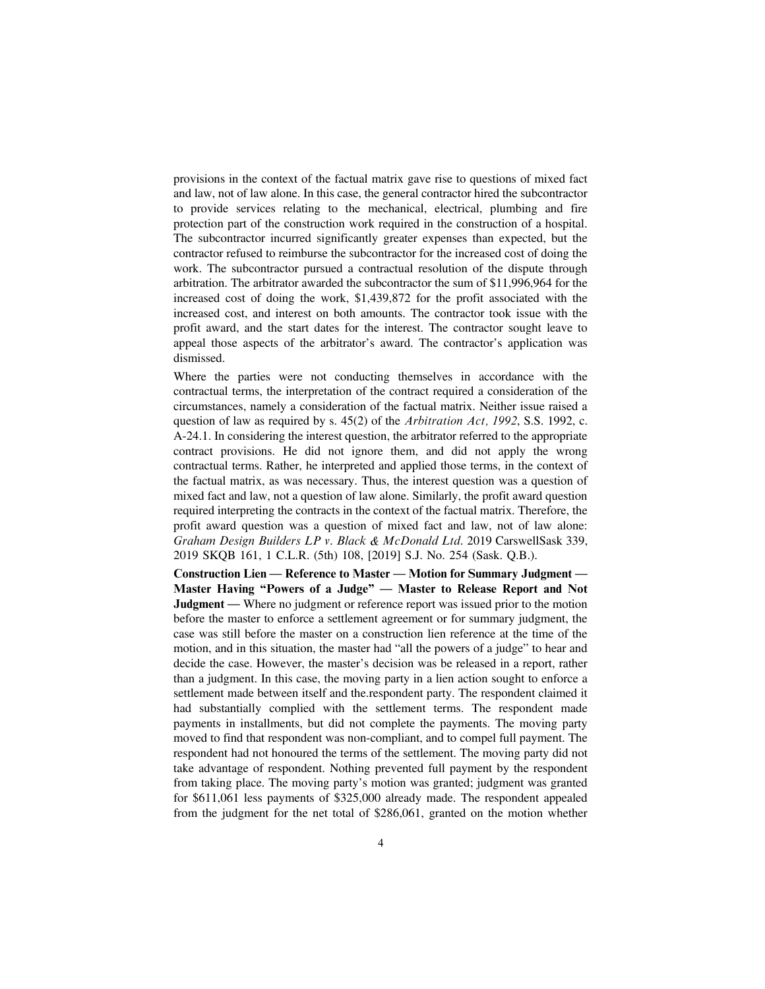provisions in the context of the factual matrix gave rise to questions of mixed fact and law, not of law alone. In this case, the general contractor hired the subcontractor to provide services relating to the mechanical, electrical, plumbing and fire protection part of the construction work required in the construction of a hospital. The subcontractor incurred significantly greater expenses than expected, but the contractor refused to reimburse the subcontractor for the increased cost of doing the work. The subcontractor pursued a contractual resolution of the dispute through arbitration. The arbitrator awarded the subcontractor the sum of \$11,996,964 for the increased cost of doing the work, \$1,439,872 for the profit associated with the increased cost, and interest on both amounts. The contractor took issue with the profit award, and the start dates for the interest. The contractor sought leave to appeal those aspects of the arbitrator's award. The contractor's application was dismissed.

Where the parties were not conducting themselves in accordance with the contractual terms, the interpretation of the contract required a consideration of the circumstances, namely a consideration of the factual matrix. Neither issue raised a question of law as required by s.  $45(2)$  of the *Arbitration Act, 1992*, S.S. 1992, c. A-24.1. In considering the interest question, the arbitrator referred to the appropriate contract provisions. He did not ignore them, and did not apply the wrong contractual terms. Rather, he interpreted and applied those terms, in the context of the factual matrix, as was necessary. Thus, the interest question was a question of mixed fact and law, not a question of law alone. Similarly, the profit award question required interpreting the contracts in the context of the factual matrix. Therefore, the profit award question was a question of mixed fact and law, not of law alone: Graham Design Builders LP v. Black & McDonald Ltd. 2019 CarswellSask 339, 2019 SKQB 161, 1 C.L.R. (5th) 108, [2019] S.J. No. 254 (Sask. Q.B.).

Construction Lien — Reference to Master — Motion for Summary Judgment — Master Having "Powers of a Judge" — Master to Release Report and Not Judgment — Where no judgment or reference report was issued prior to the motion before the master to enforce a settlement agreement or for summary judgment, the case was still before the master on a construction lien reference at the time of the motion, and in this situation, the master had "all the powers of a judge" to hear and decide the case. However, the master's decision was be released in a report, rather than a judgment. In this case, the moving party in a lien action sought to enforce a settlement made between itself and the.respondent party. The respondent claimed it had substantially complied with the settlement terms. The respondent made payments in installments, but did not complete the payments. The moving party moved to find that respondent was non-compliant, and to compel full payment. The respondent had not honoured the terms of the settlement. The moving party did not take advantage of respondent. Nothing prevented full payment by the respondent from taking place. The moving party's motion was granted; judgment was granted for \$611,061 less payments of \$325,000 already made. The respondent appealed from the judgment for the net total of \$286,061, granted on the motion whether